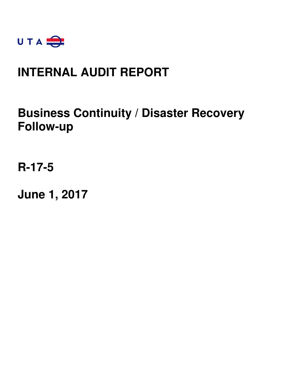

# **INTERNAL AUDIT REPORT**

# **Business Continuity / Disaster Recovery Follow-up**

**R-17-5** 

**June 1, 2017**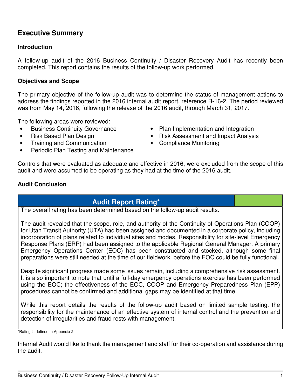# **Executive Summary**

## **Introduction**

A follow-up audit of the 2016 Business Continuity / Disaster Recovery Audit has recently been completed. This report contains the results of the follow-up work performed.

## **Objectives and Scope**

The primary objective of the follow-up audit was to determine the status of management actions to address the findings reported in the 2016 internal audit report, reference R-16-2. The period reviewed was from May 14, 2016, following the release of the 2016 audit, through March 31, 2017.

The following areas were reviewed:

- 
- 
- Training and Communication Compliance Monitoring
- Periodic Plan Testing and Maintenance
- Business Continuity Governance Plan Implementation and Integration
- Risk Based Plan Design Risk Assessment and Impact Analysis
	-

Controls that were evaluated as adequate and effective in 2016, were excluded from the scope of this audit and were assumed to be operating as they had at the time of the 2016 audit.

### **Audit Conclusion**

# **Audit Report Rating\***

The overall rating has been determined based on the follow-up audit results.

The audit revealed that the scope, role, and authority of the Continuity of Operations Plan (COOP) for Utah Transit Authority (UTA) had been assigned and documented in a corporate policy, including incorporation of plans related to individual sites and modes. Responsibility for site-level Emergency Response Plans (ERP) had been assigned to the applicable Regional General Manager. A primary Emergency Operations Center (EOC) has been constructed and stocked, although some final preparations were still needed at the time of our fieldwork, before the EOC could be fully functional.

Despite significant progress made some issues remain, including a comprehensive risk assessment. It is also important to note that until a full-day emergency operations exercise has been performed using the EOC; the effectiveness of the EOC, COOP and Emergency Preparedness Plan (EPP) procedures cannot be confirmed and additional gaps may be identified at that time.

While this report details the results of the follow-up audit based on limited sample testing, the responsibility for the maintenance of an effective system of internal control and the prevention and detection of irregularities and fraud rests with management.

\*Rating is defined in Appendix 2

Internal Audit would like to thank the management and staff for their co-operation and assistance during the audit.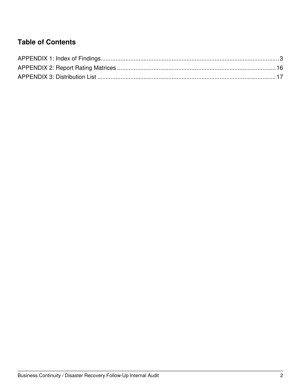# **Table of Contents**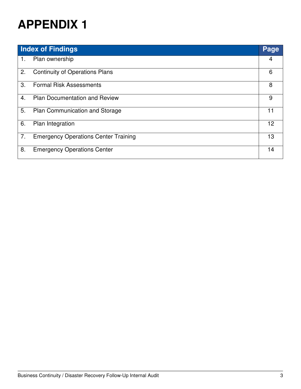|    | <b>Index of Findings</b>                    | <b>Page</b>     |
|----|---------------------------------------------|-----------------|
| 1. | Plan ownership                              | 4               |
| 2. | <b>Continuity of Operations Plans</b>       | 6               |
| 3. | <b>Formal Risk Assessments</b>              | 8               |
| 4. | <b>Plan Documentation and Review</b>        | 9               |
| 5. | <b>Plan Communication and Storage</b>       |                 |
| 6. | Plan Integration                            | 12 <sup>2</sup> |
| 7. | <b>Emergency Operations Center Training</b> | 13              |
| 8. | <b>Emergency Operations Center</b>          | 14              |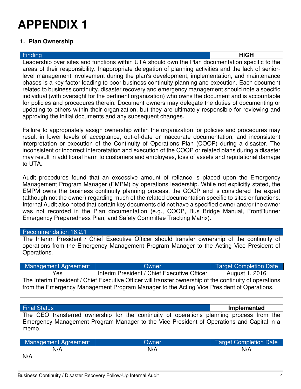### **1. Plan Ownership**

Finding **HIGH** Leadership over sites and functions within UTA should own the Plan documentation specific to the areas of their responsibility. Inappropriate delegation of planning activities and the lack of seniorlevel management involvement during the plan's development, implementation, and maintenance phases is a key factor leading to poor business continuity planning and execution. Each document related to business continuity, disaster recovery and emergency management should note a specific individual (with oversight for the pertinent organization) who owns the document and is accountable for policies and procedures therein. Document owners may delegate the duties of documenting or updating to others within their organization, but they are ultimately responsible for reviewing and approving the initial documents and any subsequent changes.

Failure to appropriately assign ownership within the organization for policies and procedures may result in lower levels of acceptance, out-of-date or inaccurate documentation, and inconsistent interpretation or execution of the Continuity of Operations Plan (COOP) during a disaster. The inconsistent or incorrect interpretation and execution of the COOP or related plans during a disaster may result in additional harm to customers and employees, loss of assets and reputational damage to UTA.

Audit procedures found that an excessive amount of reliance is placed upon the Emergency Management Program Manager (EMPM) by operations leadership. While not explicitly stated, the EMPM owns the business continuity planning process, the COOP and is considered the expert (although not the owner) regarding much of the related documentation specific to sites or functions. Internal Audit also noted that certain key documents did not have a specified owner and/or the owner was not recorded in the Plan documentation (e.g., COOP, Bus Bridge Manual, FrontRunner Emergency Preparedness Plan, and Safety Committee Tracking Matrix).

### Recommendation 16.2.1

N/A

The Interim President / Chief Executive Officer should transfer ownership of the continuity of operations from the Emergency Management Program Manager to the Acting Vice President of Operations.

| Management Agreement                                                                                    | Owner                                       | Target Completion Date |
|---------------------------------------------------------------------------------------------------------|---------------------------------------------|------------------------|
| Yes                                                                                                     | Interim President / Chief Executive Officer | August 1, 2016         |
| The Interim President / Chief Executive Officer will transfer ownership of the continuity of operations |                                             |                        |
| from the Emergency Management Program Manager to the Acting Vice President of Operations.               |                                             |                        |

| <b>Final Status</b>         |                                                                                                                                                                                       | Implemented                   |
|-----------------------------|---------------------------------------------------------------------------------------------------------------------------------------------------------------------------------------|-------------------------------|
| memo.                       | The CEO transferred ownership for the continuity of operations planning process from the<br>Emergency Management Program Manager to the Vice President of Operations and Capital in a |                               |
| <b>Management Agreement</b> | Owner                                                                                                                                                                                 | <b>Target Completion Date</b> |
| N/A                         | N/A                                                                                                                                                                                   | N/A                           |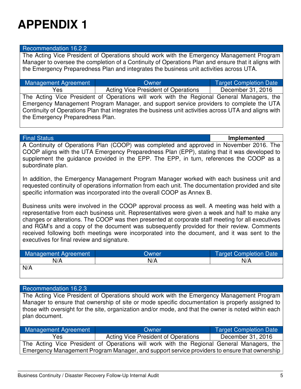### Recommendation 16.2.2

The Acting Vice President of Operations should work with the Emergency Management Program Manager to oversee the completion of a Continuity of Operations Plan and ensure that it aligns with the Emergency Preparedness Plan and integrates the business unit activities across UTA.

| Management Agreement                                                                                  | Owner                                                                                     | <b>Target Completion Date</b> |
|-------------------------------------------------------------------------------------------------------|-------------------------------------------------------------------------------------------|-------------------------------|
| Yes                                                                                                   | <b>Acting Vice President of Operations</b>                                                | December 31, 2016             |
|                                                                                                       | The Acting Vice President of Operations will work with the Regional General Managers, the |                               |
|                                                                                                       | Emergency Management Program Manager, and support service providers to complete the UTA   |                               |
| Continuity of Operations Plan that integrates the business unit activities across UTA and aligns with |                                                                                           |                               |
| the Emergency Preparedness Plan.                                                                      |                                                                                           |                               |

Final Status **Implemented**

A Continuity of Operations Plan (COOP) was completed and approved in November 2016. The COOP aligns with the UTA Emergency Preparedness Plan (EPP), stating that it was developed to supplement the guidance provided in the EPP. The EPP, in turn, references the COOP as a subordinate plan.

In addition, the Emergency Management Program Manager worked with each business unit and requested continuity of operations information from each unit. The documentation provided and site specific information was incorporated into the overall COOP as Annex B.

Business units were involved in the COOP approval process as well. A meeting was held with a representative from each business unit. Representatives were given a week and half to make any changes or alterations. The COOP was then presented at corporate staff meeting for all executives and RGM's and a copy of the document was subsequently provided for their review. Comments received following both meetings were incorporated into the document, and it was sent to the executives for final review and signature.

| Management Agreement | <b>Owner</b> | Target Completion Date |
|----------------------|--------------|------------------------|
| N/A                  | N/A          | N/A                    |
| N/A                  |              |                        |

### Recommendation 16.2.3

The Acting Vice President of Operations should work with the Emergency Management Program Manager to ensure that ownership of site or mode specific documentation is properly assigned to those with oversight for the site, organization and/or mode, and that the owner is noted within each plan document.

| Management Agreement | Owner                                                                                        | <b>Target Completion Date</b> |
|----------------------|----------------------------------------------------------------------------------------------|-------------------------------|
| Yes                  | <b>Acting Vice President of Operations</b>                                                   | December 31, 2016             |
|                      | The Acting Vice President of Operations will work with the Regional General Managers, the    |                               |
|                      | Emergency Management Program Manager, and support service providers to ensure that ownership |                               |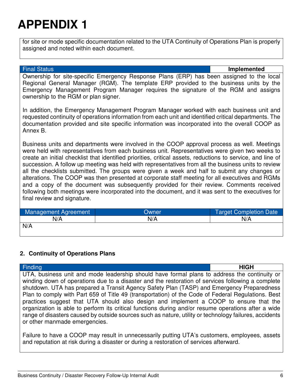for site or mode specific documentation related to the UTA Continuity of Operations Plan is properly assigned and noted within each document.

#### Final Status **Implemented**

Ownership for site-specific Emergency Response Plans (ERP) has been assigned to the local Regional General Manager (RGM). The template ERP provided to the business units by the Emergency Management Program Manager requires the signature of the RGM and assigns ownership to the RGM or plan signer.

In addition, the Emergency Management Program Manager worked with each business unit and requested continuity of operations information from each unit and identified critical departments. The documentation provided and site specific information was incorporated into the overall COOP as Annex B.

Business units and departments were involved in the COOP approval process as well. Meetings were held with representatives from each business unit. Representatives were given two weeks to create an initial checklist that identified priorities, critical assets, reductions to service, and line of succession. A follow up meeting was held with representatives from all the business units to review all the checklists submitted. The groups were given a week and half to submit any changes or alterations. The COOP was then presented at corporate staff meeting for all executives and RGMs and a copy of the document was subsequently provided for their review. Comments received following both meetings were incorporated into the document, and it was sent to the executives for final review and signature.

| Management Agreement | Owner | <b>Target Completion Date</b> |
|----------------------|-------|-------------------------------|
| N/A                  | N/A   | N/A                           |
| N/A                  |       |                               |

### **2. Continuity of Operations Plans**

| <b>Finding</b>                                                                                         | <b>HIGH</b> |
|--------------------------------------------------------------------------------------------------------|-------------|
| UTA, business unit and mode leadership should have formal plans to address the continuity or           |             |
| winding down of operations due to a disaster and the restoration of services following a complete      |             |
| shutdown. UTA has prepared a Transit Agency Safety Plan (TASP) and Emergency Preparedness              |             |
| Plan to comply with Part 659 of Title 49 (transportation) of the Code of Federal Regulations. Best     |             |
| practices suggest that UTA should also design and implement a COOP to ensure that the                  |             |
| organization is able to perform its critical functions during and/or resume operations after a wide    |             |
| range of disasters caused by outside sources such as nature, utility or technology failures, accidents |             |
| or other manmade emergencies.                                                                          |             |

Failure to have a COOP may result in unnecessarily putting UTA's customers, employees, assets and reputation at risk during a disaster or during a restoration of services afterward.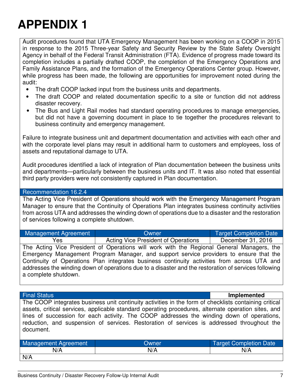Audit procedures found that UTA Emergency Management has been working on a COOP in 2015 in response to the 2015 Three-year Safety and Security Review by the State Safety Oversight Agency in behalf of the Federal Transit Administration (FTA). Evidence of progress made toward its completion includes a partially drafted COOP, the completion of the Emergency Operations and Family Assistance Plans, and the formation of the Emergency Operations Center group. However, while progress has been made, the following are opportunities for improvement noted during the audit:

- The draft COOP lacked input from the business units and departments.
- The draft COOP and related documentation specific to a site or function did not address disaster recovery.
- The Bus and Light Rail modes had standard operating procedures to manage emergencies, but did not have a governing document in place to tie together the procedures relevant to business continuity and emergency management.

Failure to integrate business unit and department documentation and activities with each other and with the corporate level plans may result in additional harm to customers and employees, loss of assets and reputational damage to UTA.

Audit procedures identified a lack of integration of Plan documentation between the business units and departments—particularly between the business units and IT. It was also noted that essential third party providers were not consistently captured in Plan documentation.

### Recommendation 16.2.4

The Acting Vice President of Operations should work with the Emergency Management Program Manager to ensure that the Continuity of Operations Plan integrates business continuity activities from across UTA and addresses the winding down of operations due to a disaster and the restoration of services following a complete shutdown.

| Management Agreement | Owner                                                                                                | <b>Target Completion Date</b> |
|----------------------|------------------------------------------------------------------------------------------------------|-------------------------------|
| Yes                  | <b>Acting Vice President of Operations</b>                                                           | December 31, 2016             |
|                      | The Acting Vice President of Operations will work with the Regional General Managers, the            |                               |
|                      | Emergency Management Program Manager, and support service providers to ensure that the               |                               |
|                      | Continuity of Operations Plan integrates business continuity activities from across UTA and          |                               |
|                      | addresses the winding down of operations due to a disaster and the restoration of services following |                               |
| a complete shutdown. |                                                                                                      |                               |

Final Status **Implemented**

The COOP integrates business unit continuity activities in the form of checklists containing critical assets, critical services, applicable standard operating procedures, alternate operation sites, and lines of succession for each activity. The COOP addresses the winding down of operations, reduction, and suspension of services. Restoration of services is addressed throughout the document.

| <b>Management Agreement</b> | Owner | Target Completion Date |
|-----------------------------|-------|------------------------|
| N/A                         | N/A   | N/A                    |
| N/A                         |       |                        |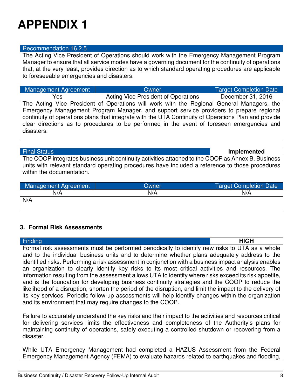#### Recommendation 16.2.5

The Acting Vice President of Operations should work with the Emergency Management Program Manager to ensure that all service modes have a governing document for the continuity of operations that, at the very least, provides direction as to which standard operating procedures are applicable to foreseeable emergencies and disasters.

| Management Agreement | Owner                                                                                    | <b>Target Completion Date</b> |
|----------------------|------------------------------------------------------------------------------------------|-------------------------------|
| Yes                  | Acting Vice President of Operations                                                      | December 31, 2016             |
|                      | The Acting Vice Dresident of Operations will werk with the Degional Ceneral Menegare the |                               |

The Acting Vice President of Operations will work with the Regional General Managers, the Emergency Management Program Manager, and support service providers to prepare regional continuity of operations plans that integrate with the UTA Continuity of Operations Plan and provide clear directions as to procedures to be performed in the event of foreseen emergencies and disasters.

**Final Status Implemented** 

The COOP integrates business unit continuity activities attached to the COOP as Annex B. Business units with relevant standard operating procedures have included a reference to those procedures within the documentation.

| Management Agreement | Owner. | <b>Target Completion Date</b> |
|----------------------|--------|-------------------------------|
| N/A                  | N/A    | N/A                           |
| N/A                  |        |                               |

### **3. Formal Risk Assessments**

| Finding                                                                                                   | <b>HIGH</b> |
|-----------------------------------------------------------------------------------------------------------|-------------|
| Formal risk assessments must be performed periodically to identify new risks to UTA as a whole            |             |
| and to the individual business units and to determine whether plans adequately address to the             |             |
| identified risks. Performing a risk assessment in conjunction with a business impact analysis enables     |             |
| an organization to clearly identify key risks to its most critical activities and resources. The          |             |
| information resulting from the assessment allows UTA to identify where risks exceed its risk appetite,    |             |
| and is the foundation for developing business continuity strategies and the COOP to reduce the            |             |
| likelihood of a disruption, shorten the period of the disruption, and limit the impact to the delivery of |             |
| its key services. Periodic follow-up assessments will help identify changes within the organization       |             |
| and its environment that may require changes to the COOP.                                                 |             |

Failure to accurately understand the key risks and their impact to the activities and resources critical for delivering services limits the effectiveness and completeness of the Authority's plans for maintaining continuity of operations, safely executing a controlled shutdown or recovering from a disaster.

While UTA Emergency Management had completed a HAZUS Assessment from the Federal Emergency Management Agency (FEMA) to evaluate hazards related to earthquakes and flooding,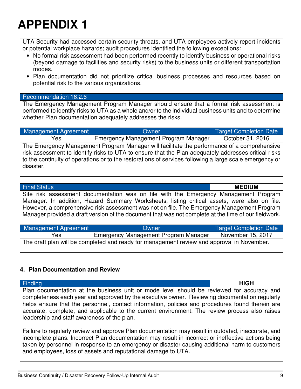UTA Security had accessed certain security threats, and UTA employees actively report incidents or potential workplace hazards; audit procedures identified the following exceptions:

- No formal risk assessment had been performed recently to identify business or operational risks (beyond damage to facilities and security risks) to the business units or different transportation modes.
- Plan documentation did not prioritize critical business processes and resources based on potential risk to the various organizations.

### Recommendation 16.2.6

The Emergency Management Program Manager should ensure that a formal risk assessment is performed to identify risks to UTA as a whole and/or to the individual business units and to determine whether Plan documentation adequately addresses the risks.

| <b>Management Agreement</b>                                                                             | Owner                                | Target Completion Date |
|---------------------------------------------------------------------------------------------------------|--------------------------------------|------------------------|
| Yes                                                                                                     | Emergency Management Program Manager | October 31, 2016       |
| The Emergency Management Program Manager will facilitate the performance of a comprehensive             |                                      |                        |
| risk assessment to identify risks to UTA to ensure that the Plan adequately addresses critical risks    |                                      |                        |
| to the continuity of operations or to the restorations of services following a large scale emergency or |                                      |                        |

#### Final Status **MEDIUM**

disaster.

Site risk assessment documentation was on file with the Emergency Management Program Manager. In addition, Hazard Summary Worksheets, listing critical assets, were also on file. However, a comprehensive risk assessment was not on file. The Emergency Management Program Manager provided a draft version of the document that was not complete at the time of our fieldwork.

| <b>Management Agreement</b>                                                                | Owner                                       | <b>Target Completion Date</b> |
|--------------------------------------------------------------------------------------------|---------------------------------------------|-------------------------------|
| Yes                                                                                        | <b>Emergency Management Program Manager</b> | November 15, 2017             |
| The draft plan will be completed and ready for management review and approval in November. |                                             |                               |

### **4. Plan Documentation and Review**

Finding **HIGH** Plan documentation at the business unit or mode level should be reviewed for accuracy and completeness each year and approved by the executive owner. Reviewing documentation regularly helps ensure that the personnel, contact information, policies and procedures found therein are accurate, complete, and applicable to the current environment. The review process also raises leadership and staff awareness of the plan.

Failure to regularly review and approve Plan documentation may result in outdated, inaccurate, and incomplete plans. Incorrect Plan documentation may result in incorrect or ineffective actions being taken by personnel in response to an emergency or disaster causing additional harm to customers and employees, loss of assets and reputational damage to UTA.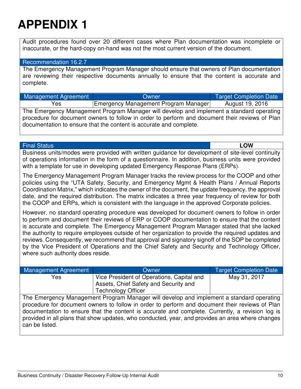Audit procedures found over 20 different cases where Plan documentation was incomplete or inaccurate, or the hard-copy on-hand was not the most current version of the document.

#### Recommendation 16.2.7

The Emergency Management Program Manager should ensure that owners of Plan documentation are reviewing their respective documents annually to ensure that the content is accurate and complete.

| Management Agreement | Owner                                | Target Completion Date |
|----------------------|--------------------------------------|------------------------|
| Yes                  | Emergency Management Program Manager | August 19, 2016        |

The Emergency Management Program Manager will develop and implement a standard operating procedure for document owners to follow in order to perform and document their reviews of Plan documentation to ensure that the content is accurate and complete.

Final Status **LOW**

Business units/modes were provided with written guidance for development of site-level continuity of operations information in the form of a questionnaire. In addition, business units were provided with a template for use in developing updated Emergency Response Plans (ERPs).

The Emergency Management Program Manager tracks the review process for the COOP and other policies using the "UTA Safety, Security, and Emergency Mgmt & Health Plans / Annual Reports Coordination Matrix," which indicates the owner of the document, the update frequency, the approval date, and the required distribution. The matrix indicates a three year frequency of review for both the COOP and ERPs, which is consistent with the language in the approved Corporate policies.

However, no standard operating procedure was developed for document owners to follow in order to perform and document their reviews of ERP or COOP documentation to ensure that the content is accurate and complete. The Emergency Management Program Manager stated that she lacked the authority to require employees outside of her organization to provide the required updates and reviews. Consequently, we recommend that approval and signatory signoff of the SOP be completed by the Vice President of Operations and the Chief Safety and Security and Technology Officer, where such authority does reside.

| Management Agreement | Owner                                                                                                           | <b>Target Completion Date</b> |
|----------------------|-----------------------------------------------------------------------------------------------------------------|-------------------------------|
| Yes                  | Vice President of Operations, Capital and<br>Assets, Chief Safety and Security and<br><b>Technology Officer</b> | May 31, 2017                  |

The Emergency Management Program Manager will develop and implement a standard operating procedure for document owners to follow in order to perform and document their reviews of Plan documentation to ensure that the content is accurate and complete. Currently, a revision log is provided in all plans that show updates, who conducted, year, and provides an area where changes can be listed.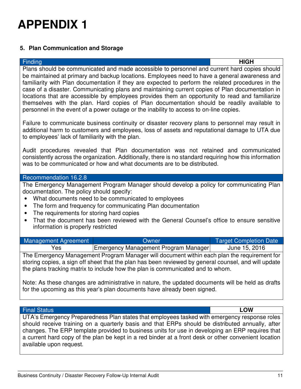## **5. Plan Communication and Storage**

Finding **HIGH** Plans should be communicated and made accessible to personnel and current hard copies should be maintained at primary and backup locations. Employees need to have a general awareness and familiarity with Plan documentation if they are expected to perform the related procedures in the case of a disaster. Communicating plans and maintaining current copies of Plan documentation in locations that are accessible by employees provides them an opportunity to read and familiarize themselves with the plan. Hard copies of Plan documentation should be readily available to personnel in the event of a power outage or the inability to access to on-line copies.

Failure to communicate business continuity or disaster recovery plans to personnel may result in additional harm to customers and employees, loss of assets and reputational damage to UTA due to employees' lack of familiarity with the plan.

Audit procedures revealed that Plan documentation was not retained and communicated consistently across the organization. Additionally, there is no standard requiring how this information was to be communicated or how and what documents are to be distributed.

## Recommendation 16.2.8

The Emergency Management Program Manager should develop a policy for communicating Plan documentation. The policy should specify:

- What documents need to be communicated to employees
- The form and frequency for communicating Plan documentation
- The requirements for storing hard copies
- That the document has been reviewed with the General Counsel's office to ensure sensitive information is properly restricted

| Management Agreement | Owner                                | Target Completion Date |
|----------------------|--------------------------------------|------------------------|
| Yes                  | Emergency Management Program Manager | June 15, 2016          |

The Emergency Management Program Manager will document within each plan the requirement for storing copies, a sign off sheet that the plan has been reviewed by general counsel, and will update the plans tracking matrix to include how the plan is communicated and to whom.

Note: As these changes are administrative in nature, the updated documents will be held as drafts for the upcoming as this year's plan documents have already been signed.

### Final Status **LOW**

UTA's Emergency Preparedness Plan states that employees tasked with emergency response roles should receive training on a quarterly basis and that ERPs should be distributed annually, after changes. The ERP template provided to business units for use in developing an ERP requires that a current hard copy of the plan be kept in a red binder at a front desk or other convenient location available upon request.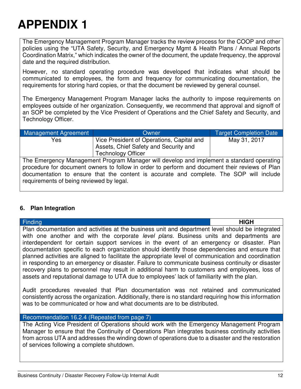The Emergency Management Program Manager tracks the review process for the COOP and other policies using the "UTA Safety, Security, and Emergency Mgmt & Health Plans / Annual Reports Coordination Matrix," which indicates the owner of the document, the update frequency, the approval date and the required distribution.

However, no standard operating procedure was developed that indicates what should be communicated to employees, the form and frequency for communicating documentation, the requirements for storing hard copies, or that the document be reviewed by general counsel.

The Emergency Management Program Manager lacks the authority to impose requirements on employees outside of her organization. Consequently, we recommend that approval and signoff of an SOP be completed by the Vice President of Operations and the Chief Safety and Security, and Technology Officer.

| Management Agreement | Owner                                                                                          | Target Completion Date |
|----------------------|------------------------------------------------------------------------------------------------|------------------------|
| Yes                  | Vice President of Operations, Capital and                                                      | May 31, 2017           |
|                      | Assets, Chief Safety and Security and                                                          |                        |
|                      | <b>Technology Officer</b>                                                                      |                        |
|                      | The Emergency Management Program Manager will develop and implement a standard operating       |                        |
|                      | procedure for document owners to follow in order to perform and document their reviews of Plan |                        |
|                      | documentation to ensure that the content is accurate and complete. The SOP will include        |                        |

### **6. Plan Integration**

requirements of being reviewed by legal.

| <b>Finding</b>                                                                                       | <b>HIGH</b> |
|------------------------------------------------------------------------------------------------------|-------------|
| Plan documentation and activities at the business unit and department level should be integrated     |             |
| with one another and with the corporate level plans. Business units and departments are              |             |
| interdependent for certain support services in the event of an emergency or disaster. Plan           |             |
| documentation specific to each organization should identify those dependencies and ensure that       |             |
| planned activities are aligned to facilitate the appropriate level of communication and coordination |             |
| in responding to an emergency or disaster. Failure to communicate business continuity or disaster    |             |
| recovery plans to personnel may result in additional harm to customers and employees, loss of        |             |
| assets and reputational damage to UTA due to employees' lack of familiarity with the plan.           |             |

Audit procedures revealed that Plan documentation was not retained and communicated consistently across the organization. Additionally, there is no standard requiring how this information was to be communicated or how and what documents are to be distributed.

### Recommendation 16.2.4 (Repeated from page 7)

The Acting Vice President of Operations should work with the Emergency Management Program Manager to ensure that the Continuity of Operations Plan integrates business continuity activities from across UTA and addresses the winding down of operations due to a disaster and the restoration of services following a complete shutdown.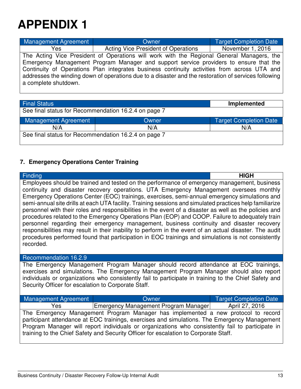| Management Agreement | Owner                                                                                                | <b>Target Completion Date</b> |
|----------------------|------------------------------------------------------------------------------------------------------|-------------------------------|
| Yes                  | Acting Vice President of Operations                                                                  | November 1, 2016              |
|                      | The Acting Vice President of Operations will work with the Regional General Managers, the            |                               |
|                      | Emergency Management Program Manager and support service providers to ensure that the                |                               |
|                      | Continuity of Operations Plan integrates business continuity activities from across UTA and          |                               |
| a complete shutdown. | addresses the winding down of operations due to a disaster and the restoration of services following |                               |

| <b>Final Status</b>                                  |       | Implemented                   |
|------------------------------------------------------|-------|-------------------------------|
| See final status for Recommendation 16.2.4 on page 7 |       |                               |
| Management Agreement                                 | Owner | <b>Target Completion Date</b> |
| N/A                                                  | N/A   | N/A                           |
| See final status for Recommendation 16.2.4 on page 7 |       |                               |

### **7. Emergency Operations Center Training**

| <b>Finding</b>                                                                                                                                                                                                                                                                                                                                                                                                                                                                                                                                                                                                                                                                                                                                                                                                                                                                                                                             | <b>HIGH</b> |
|--------------------------------------------------------------------------------------------------------------------------------------------------------------------------------------------------------------------------------------------------------------------------------------------------------------------------------------------------------------------------------------------------------------------------------------------------------------------------------------------------------------------------------------------------------------------------------------------------------------------------------------------------------------------------------------------------------------------------------------------------------------------------------------------------------------------------------------------------------------------------------------------------------------------------------------------|-------------|
| Employees should be trained and tested on the performance of emergency management, business<br>continuity and disaster recovery operations. UTA Emergency Management oversees monthly<br>Emergency Operations Center (EOC) trainings, exercises, semi-annual emergency simulations and<br>semi-annual site drills at each UTA facility. Training sessions and simulated practices help familiarize<br>personnel with their roles and responsibilities in the event of a disaster as well as the policies and<br>procedures related to the Emergency Operations Plan (EOP) and COOP. Failure to adequately train<br>personnel regarding their emergency management, business continuity and disaster recovery<br>responsibilities may result in their inability to perform in the event of an actual disaster. The audit<br>procedures performed found that participation in EOC trainings and simulations is not consistently<br>recorded. |             |
| Recommendation 16.2.9                                                                                                                                                                                                                                                                                                                                                                                                                                                                                                                                                                                                                                                                                                                                                                                                                                                                                                                      |             |
| The Emergency Management Program Manager should record attendance at EOC trainings,<br>overgiace and gimulations. The Emergancy Managament Drearam Managar abould also report                                                                                                                                                                                                                                                                                                                                                                                                                                                                                                                                                                                                                                                                                                                                                              |             |

exercises and simulations. The Emergency Management Program Manager should also report individuals or organizations who consistently fail to participate in training to the Chief Safety and Security Officer for escalation to Corporate Staff.

| <b>Management Agreement</b>                                                                      | Owner                                | Target Completion Date |
|--------------------------------------------------------------------------------------------------|--------------------------------------|------------------------|
| Yes                                                                                              | Emergency Management Program Manager | April 27, 2016         |
| The Emergency Management Program Manager has implemented a new protocol to record                |                                      |                        |
| participant attendance at EOC trainings, exercises and simulations. The Emergency Management     |                                      |                        |
| Program Manager will report individuals or organizations who consistently fail to participate in |                                      |                        |
| training to the Chief Safety and Security Officer for escalation to Corporate Staff.             |                                      |                        |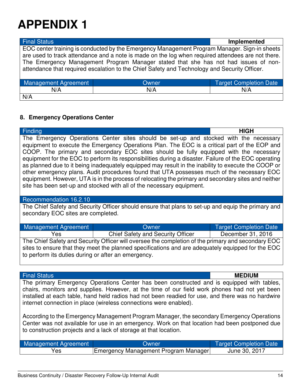EOC center training is conducted by the Emergency Management Program Manager. Sign-in sheets are used to track attendance and a note is made on the log when required attendees are not there. The Emergency Management Program Manager stated that she has not had issues of nonattendance that required escalation to the Chief Safety and Technology and Security Officer.

| Management Agreement | Owner | Target Completion Date |
|----------------------|-------|------------------------|
| N/A                  | N/A   | N/A                    |
| N/A                  |       |                        |

#### **8. Emergency Operations Center**

Finding **HIGH** The Emergency Operations Center sites should be set-up and stocked with the necessary equipment to execute the Emergency Operations Plan. The EOC is a critical part of the EOP and COOP. The primary and secondary EOC sites should be fully equipped with the necessary equipment for the EOC to perform its responsibilities during a disaster. Failure of the EOC operating as planned due to it being inadequately equipped may result in the inability to execute the COOP or other emergency plans. Audit procedures found that UTA possesses much of the necessary EOC equipment. However, UTA is in the process of relocating the primary and secondary sites and neither site has been set-up and stocked with all of the necessary equipment.

#### Recommendation 16.2.10

The Chief Safety and Security Officer should ensure that plans to set-up and equip the primary and secondary EOC sites are completed.

| Management Agreement                                                                               | Owner                             | <b>Target Completion Date</b> |
|----------------------------------------------------------------------------------------------------|-----------------------------------|-------------------------------|
| Yes                                                                                                | Chief Safety and Security Officer | December 31, 2016             |
| The Chief Safety and Security Officer will oversee the completion of the primary and secondary EOC |                                   |                               |

afety and Security Officer will oversee the completion of the primary and secondary sites to ensure that they meet the planned specifications and are adequately equipped for the EOC to perform its duties during or after an emergency.

#### Final Status **MEDIUM**

The primary Emergency Operations Center has been constructed and is equipped with tables, chairs, monitors and supplies. However, at the time of our field work phones had not yet been installed at each table, hand held radios had not been readied for use, and there was no hardwire internet connection in place (wireless connections were enabled).

According to the Emergency Management Program Manager, the secondary Emergency Operations Center was not available for use in an emergency. Work on that location had been postponed due to construction projects and a lack of storage at that location.

| Management Agreement | <b>Owner</b>                         | Target Completion Date |
|----------------------|--------------------------------------|------------------------|
| res                  | Emergency Management Program Manager | June 30, 2017          |

### Final Status **Implemented**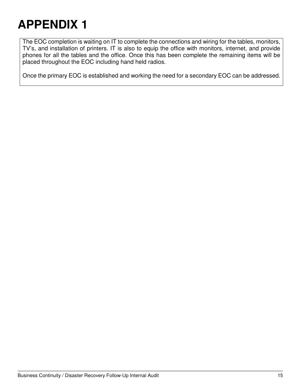The EOC completion is waiting on IT to complete the connections and wiring for the tables, monitors, TV's, and installation of printers. IT is also to equip the office with monitors, internet, and provide phones for all the tables and the office. Once this has been complete the remaining items will be placed throughout the EOC including hand held radios.

Once the primary EOC is established and working the need for a secondary EOC can be addressed.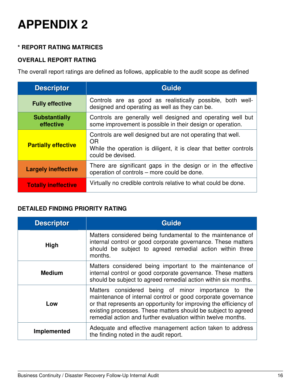### **\* REPORT RATING MATRICES**

## **OVERALL REPORT RATING**

The overall report ratings are defined as follows, applicable to the audit scope as defined

| <b>Descriptor</b>                 | <b>Guide</b>                                                                                                                                                       |  |
|-----------------------------------|--------------------------------------------------------------------------------------------------------------------------------------------------------------------|--|
| <b>Fully effective</b>            | Controls are as good as realistically possible, both well-<br>designed and operating as well as they can be.                                                       |  |
| <b>Substantially</b><br>effective | Controls are generally well designed and operating well but<br>some improvement is possible in their design or operation.                                          |  |
| <b>Partially effective</b>        | Controls are well designed but are not operating that well.<br><b>OR</b><br>While the operation is diligent, it is clear that better controls<br>could be devised. |  |
| <b>Largely ineffective</b>        | There are significant gaps in the design or in the effective<br>operation of controls – more could be done.                                                        |  |
| <b>Totally ineffective</b>        | Virtually no credible controls relative to what could be done.                                                                                                     |  |

### **DETAILED FINDING PRIORITY RATING**

| <b>Descriptor</b>  | Guide                                                                                                                                                                                                                                                                                                                     |
|--------------------|---------------------------------------------------------------------------------------------------------------------------------------------------------------------------------------------------------------------------------------------------------------------------------------------------------------------------|
| High               | Matters considered being fundamental to the maintenance of<br>internal control or good corporate governance. These matters<br>should be subject to agreed remedial action within three<br>months.                                                                                                                         |
| <b>Medium</b>      | Matters considered being important to the maintenance of<br>internal control or good corporate governance. These matters<br>should be subject to agreed remedial action within six months.                                                                                                                                |
| Low                | Matters considered being of minor importance to the<br>maintenance of internal control or good corporate governance<br>or that represents an opportunity for improving the efficiency of<br>existing processes. These matters should be subject to agreed<br>remedial action and further evaluation within twelve months. |
| <b>Implemented</b> | Adequate and effective management action taken to address<br>the finding noted in the audit report.                                                                                                                                                                                                                       |